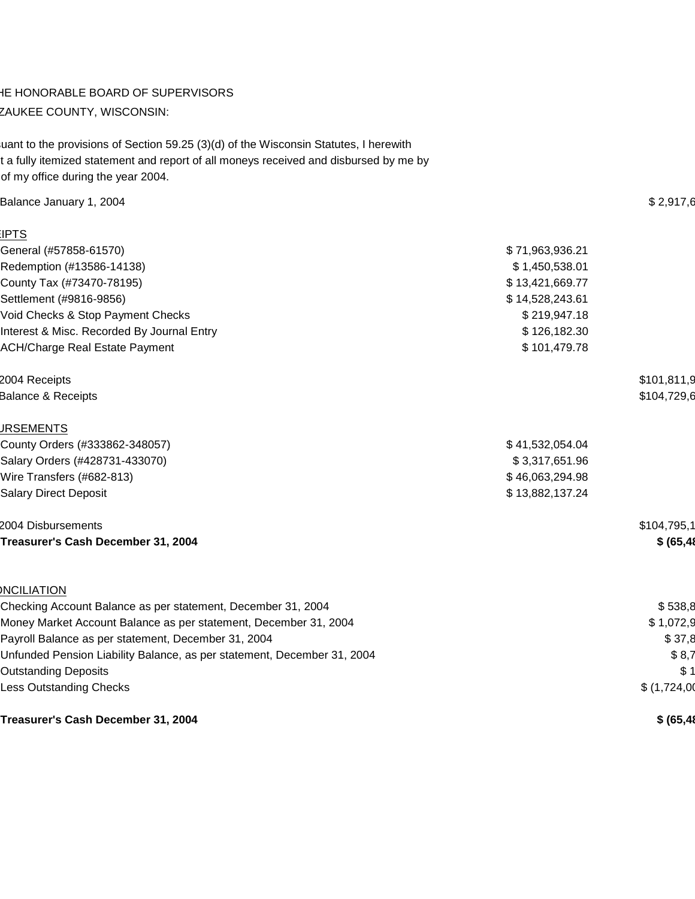### IE HONORABLE BOARD OF SUPERVISORS ZAUKEE COUNTY, WISCONSIN:

uant to the provisions of Section 59.25 (3)(d) of the Wisconsin Statutes, I herewith t a fully itemized statement and report of all moneys received and disbursed by me by of my office during the year 2004.

| Balance January 1, 2004                                                 |                 | \$2,917,6    |
|-------------------------------------------------------------------------|-----------------|--------------|
| <b>IPTS</b>                                                             |                 |              |
| General (#57858-61570)                                                  | \$71,963,936.21 |              |
| Redemption (#13586-14138)                                               | \$1,450,538.01  |              |
| County Tax (#73470-78195)                                               | \$13,421,669.77 |              |
| Settlement (#9816-9856)                                                 | \$14,528,243.61 |              |
| Void Checks & Stop Payment Checks                                       | \$219,947.18    |              |
| Interest & Misc. Recorded By Journal Entry                              | \$126,182.30    |              |
| <b>ACH/Charge Real Estate Payment</b>                                   | \$101,479.78    |              |
| 2004 Receipts                                                           |                 | \$101,811,9  |
| <b>Balance &amp; Receipts</b>                                           |                 | \$104,729,6  |
| <b>JRSEMENTS</b>                                                        |                 |              |
| County Orders (#333862-348057)                                          | \$41,532,054.04 |              |
| Salary Orders (#428731-433070)                                          | \$3,317,651.96  |              |
| Wire Transfers (#682-813)                                               | \$46,063,294.98 |              |
| <b>Salary Direct Deposit</b>                                            | \$13,882,137.24 |              |
| 2004 Disbursements                                                      |                 | \$104,795,1  |
| Treasurer's Cash December 31, 2004                                      |                 | \$ (65, 48)  |
| <b>NCILIATION</b>                                                       |                 |              |
| Checking Account Balance as per statement, December 31, 2004            |                 | \$538,8      |
| Money Market Account Balance as per statement, December 31, 2004        |                 | \$1,072,9    |
| Payroll Balance as per statement, December 31, 2004                     |                 | \$37,8       |
| Unfunded Pension Liability Balance, as per statement, December 31, 2004 |                 | \$8,7        |
| <b>Outstanding Deposits</b>                                             |                 | \$1          |
| Less Outstanding Checks                                                 |                 | \$(1,724,00) |
|                                                                         |                 |              |

**Treasurer's Cash December 31, 2004 \$** (65,48) **\$** (65,48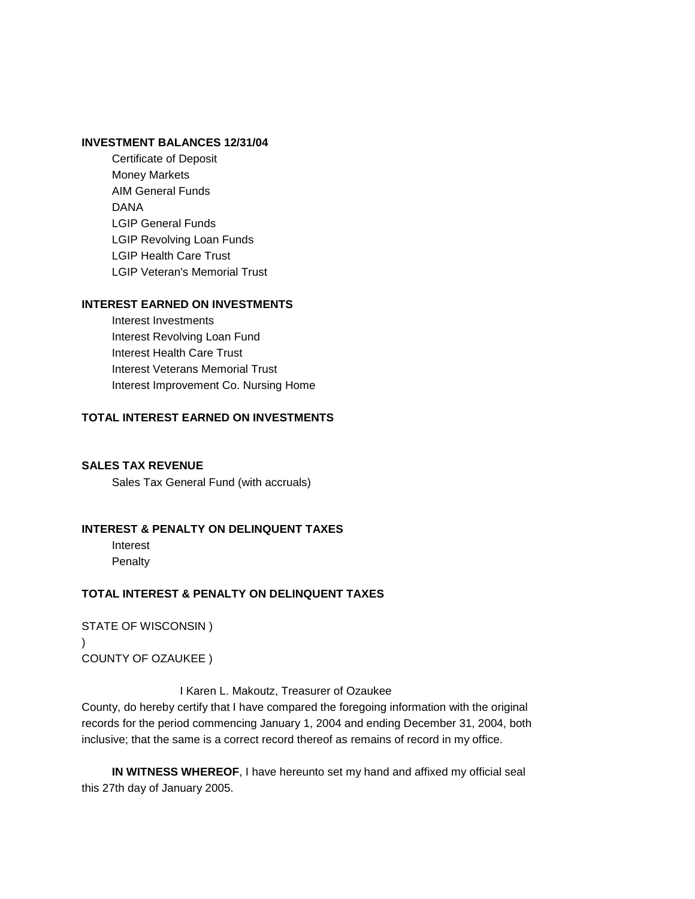#### **INVESTMENT BALANCES 12/31/04**

Certificate of Deposit **Money Markets** AIM General Funds  $\mathsf{DANA}\ \mathsf{}$ **LGIP General Funds** LGIP Revolving Loan Funds **LGIP Health Care Trust LGIP Veteran's Memorial Trust** 

#### **INTEREST EARNED ON INVESTMENTS**

Interest Investments Interest Revolving Loan Fund Interest Health Care Trust Interest Veterans Memorial Trust Interest Improvement Co. Nursing Home

#### **TOTAL INTEREST EARNED ON INVESTMENTS \$ 310,133.05**

#### **SALES TAX REVENUE**

Sales Tax General Fund (with accruals)

#### **INTEREST & PENALTY ON DELINQUENT TAXES**

Interest  $\frac{1}{2}$  $\blacksquare$  Penalty  $\blacksquare$ 

#### **TOTAL INTEREST & PENALTY ON DELINQUENT TAXES**

STATE OF WISCONSIN ) ) COUNTY OF OZAUKEE )

I Karen L. Makoutz, Treasurer of Ozaukee

County, do hereby certify that I have compared the foregoing information with the original records for the period commencing January 1, 2004 and ending December 31, 2004, both inclusive; that the same is a correct record thereof as remains of record in my office.

**IN WITNESS WHEREOF**, I have hereunto set my hand and affixed my official seal this 27th day of January 2005.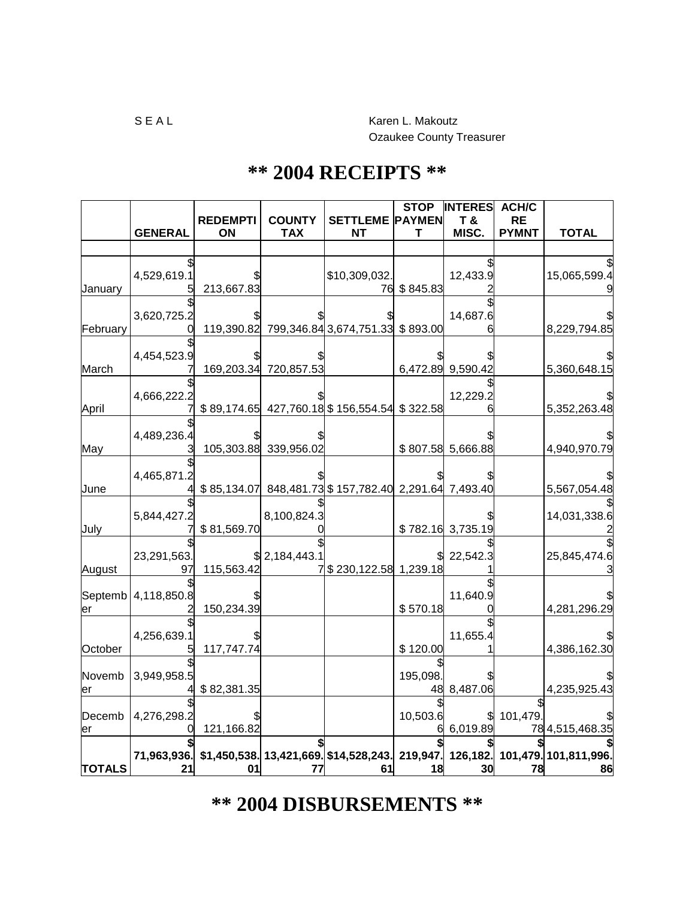# **\*\* 2004 DISBURSEMENTS \*\***

|               |                |                 |                       |                                                       | <b>STOP</b>   | <b>INTERES</b>    | <b>ACH/C</b> |                                         |
|---------------|----------------|-----------------|-----------------------|-------------------------------------------------------|---------------|-------------------|--------------|-----------------------------------------|
|               |                | <b>REDEMPTI</b> | <b>COUNTY</b>         | <b>SETTLEME</b>                                       | <b>PAYMEN</b> | T &               | <b>RE</b>    |                                         |
|               | <b>GENERAL</b> | ON              | <b>TAX</b>            | <b>NT</b>                                             | Т             | MISC.             | <b>PYMNT</b> | <b>TOTAL</b>                            |
|               |                |                 |                       |                                                       |               |                   |              |                                         |
|               |                |                 |                       |                                                       |               |                   |              |                                         |
|               | 4,529,619.1    | 213,667.83      |                       | \$10,309,032<br>76                                    | \$845.83      | 12,433.9          |              | 15,065,599.4                            |
| January       |                |                 |                       |                                                       |               |                   |              |                                         |
|               | 3,620,725.2    |                 |                       |                                                       |               | 14,687.6          |              |                                         |
| February      |                |                 |                       | 119,390.82 799,346.84 3,674,751.33 \$893.00           |               |                   |              | 8,229,794.85                            |
|               |                |                 |                       |                                                       |               |                   |              |                                         |
|               | 4,454,523.9    |                 |                       |                                                       |               |                   |              |                                         |
| March         |                |                 | 169,203.34 720,857.53 |                                                       |               | 6,472.89 9,590.42 |              | 5,360,648.15                            |
|               |                |                 |                       |                                                       |               |                   |              |                                         |
|               | 4,666,222.     |                 |                       |                                                       |               | 12,229.2          |              |                                         |
| April         |                |                 |                       | \$89,174.65 427,760.18 \$156,554.54 \$322.58          |               |                   |              | 5,352,263.48                            |
|               | 4,489,236.4    |                 |                       |                                                       |               |                   |              |                                         |
| May           |                |                 | 105,303.88 339,956.02 |                                                       |               | \$807.58 5,666.88 |              | 4,940,970.79                            |
|               |                |                 |                       |                                                       |               |                   |              |                                         |
|               | 4,465,871.2    |                 |                       |                                                       |               |                   |              |                                         |
| June          |                |                 |                       | \$85,134.07 848,481.73 \$157,782.40 2,291.64 7,493.40 |               |                   |              | 5,567,054.48                            |
|               |                |                 |                       |                                                       |               |                   |              |                                         |
|               | 5,844,427.2    |                 | 8,100,824.3           |                                                       |               |                   |              | 14,031,338.6                            |
| July          |                | \$81,569.70     |                       |                                                       |               | \$782.16 3,735.19 |              |                                         |
|               | 23,291,563.    |                 | \$2,184,443.1         |                                                       |               | 22,542.3          |              | 25,845,474.6                            |
| August        | 97             | 115,563.42      |                       | 7 \$230,122.58 1,239.18                               |               |                   |              |                                         |
|               |                |                 |                       |                                                       |               |                   |              |                                         |
| Septemb       | 4,118,850.8    |                 |                       |                                                       |               | 11,640.9          |              |                                         |
| er            |                | 150,234.39      |                       |                                                       | \$570.18      |                   |              | 4,281,296.29                            |
|               |                |                 |                       |                                                       |               |                   |              |                                         |
|               | 4,256,639.1    |                 |                       |                                                       |               | 11,655.4          |              |                                         |
| October       |                | 117,747.74      |                       |                                                       | \$120.00      |                   |              | 4,386,162.30                            |
|               |                |                 |                       |                                                       |               |                   |              |                                         |
| Novemb        | 3,949,958.5    |                 |                       |                                                       | 195,098       |                   |              |                                         |
| er            |                | \$82,381.35     |                       |                                                       |               | 48 8,487.06       |              | 4,235,925.43                            |
| Decemb        | 4,276,298.2    |                 |                       |                                                       | 10,503.6      |                   | 101,479      |                                         |
| er            |                | 121,166.82      |                       |                                                       |               | 6,019.89          |              | 78 4,515,468.35                         |
|               |                |                 |                       |                                                       |               |                   |              |                                         |
|               |                |                 |                       | 71,963,936. \$1,450,538. 13,421,669. \$14,528,243.    |               |                   |              | 219,947. 126,182. 101,479. 101,811,996. |
| <b>TOTALS</b> | 21             | 01              |                       | 61                                                    | 18            | 30                | 78           | 86                                      |

## **\*\* 2004 RECEIPTS \*\***

Ozaukee County Treasurer

S E A L Karen L. Makoutz

 $\Gamma$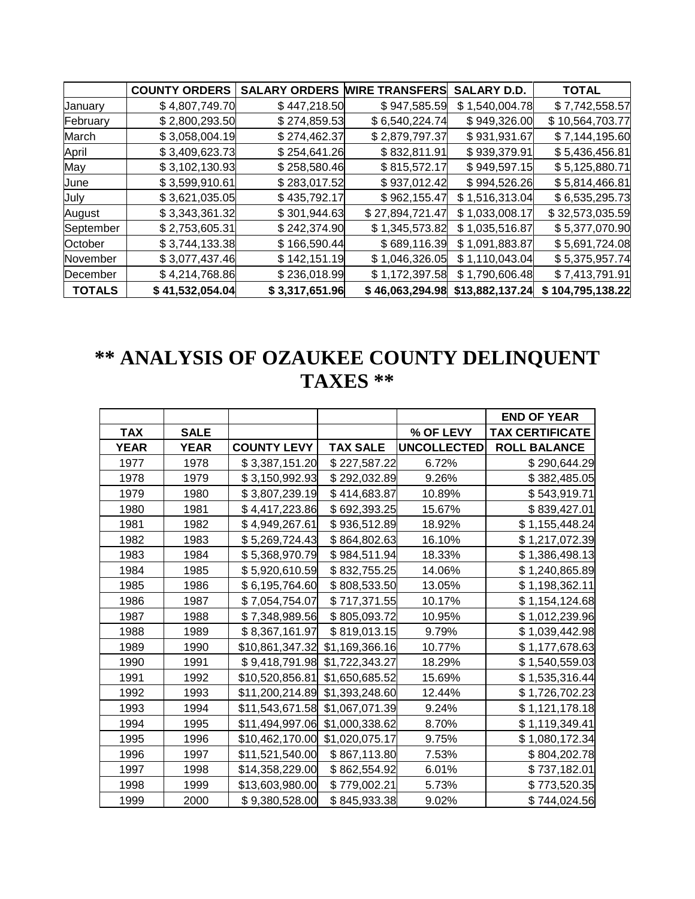|               | <b>COUNTY ORDERS</b> | <b>SALARY ORDERS</b> | <b>WIRE TRANSFERS</b> | <b>SALARY D.D.</b> | <b>TOTAL</b>         |
|---------------|----------------------|----------------------|-----------------------|--------------------|----------------------|
| January       | \$4,807,749.70       | \$447,218.50         | \$947,585.59          | \$1,540,004.78     | \$7,742,558.57       |
| February      | \$2,800,293.50       | \$274,859.53         | \$6,540,224.74        | \$949,326.00       | \$10,564,703.77      |
| March         | \$3,058,004.19       | \$274,462.37         | \$2,879,797.37        | \$931,931.67       | \$7,144,195.60       |
| April         | \$3,409,623.73       | \$254,641.26         | \$832,811.91          | \$939,379.91       | \$5,436,456.81       |
| May           | \$3,102,130.93       | \$258,580.46         | \$815,572.17          | \$949,597.15       | \$5,125,880.71       |
| June          | \$3,599,910.61       | \$283,017.52         | \$937,012.42          | \$994,526.26       | \$5,814,466.81       |
| July          | \$3,621,035.05       | \$435,792.17         | \$962,155.47          | \$1,516,313.04     | \$6,535,295.73       |
| August        | \$3,343,361.32       | \$301,944.63         | \$27,894,721.47       | \$1,033,008.17     | \$32,573,035.59      |
| September     | \$2,753,605.31       | \$242,374.90         | \$1,345,573.82        | \$1,035,516.87     | \$5,377,070.90       |
| October       | \$3,744,133.38       | \$166,590.44         | \$689,116.39          | \$1,091,883.87     | \$5,691,724.08       |
| November      | \$3,077,437.46       | \$142,151.19         | \$1,046,326.05        | \$1,110,043.04     | \$5,375,957.74       |
| December      | \$4,214,768.86       | \$236,018.99         | \$1,172,397.58        | \$1,790,606.48     | \$7,413,791.91       |
| <b>TOTALS</b> | \$41,532,054.04      | \$3,317,651.96       | \$46,063,294.98       | \$13,882,137.24    | 104,795,138.22<br>S. |

# **\*\* ANALYSIS OF OZAUKEE COUNTY DELINQUENT TAXES \*\***

|             |             |                    |                 |                    | <b>END OF YEAR</b>     |
|-------------|-------------|--------------------|-----------------|--------------------|------------------------|
| <b>TAX</b>  | <b>SALE</b> |                    |                 | % OF LEVY          | <b>TAX CERTIFICATE</b> |
| <b>YEAR</b> | <b>YEAR</b> | <b>COUNTY LEVY</b> | <b>TAX SALE</b> | <b>UNCOLLECTED</b> | <b>ROLL BALANCE</b>    |
| 1977        | 1978        | \$3,387,151.20     | \$227,587.22    | 6.72%              | \$290,644.29           |
| 1978        | 1979        | \$3,150,992.93     | \$292,032.89    | 9.26%              | \$382,485.05           |
| 1979        | 1980        | \$3,807,239.19     | \$414,683.87    | 10.89%             | \$543,919.71           |
| 1980        | 1981        | \$4,417,223.86     | \$692,393.25    | 15.67%             | \$839,427.01           |
| 1981        | 1982        | \$4,949,267.61     | \$936,512.89    | 18.92%             | \$1,155,448.24         |
| 1982        | 1983        | \$5,269,724.43     | \$864,802.63    | 16.10%             | \$1,217,072.39         |
| 1983        | 1984        | \$5,368,970.79     | \$984,511.94    | 18.33%             | \$1,386,498.13         |
| 1984        | 1985        | \$5,920,610.59     | \$832,755.25    | 14.06%             | \$1,240,865.89         |
| 1985        | 1986        | \$6,195,764.60     | \$808,533.50    | 13.05%             | \$1,198,362.11         |
| 1986        | 1987        | \$7,054,754.07     | \$717,371.55    | 10.17%             | \$1,154,124.68         |
| 1987        | 1988        | \$7,348,989.56     | \$805,093.72    | 10.95%             | \$1,012,239.96         |
| 1988        | 1989        | \$8,367,161.97     | \$819,013.15    | 9.79%              | \$1,039,442.98         |
| 1989        | 1990        | \$10,861,347.32    | \$1,169,366.16  | 10.77%             | \$1,177,678.63         |
| 1990        | 1991        | \$9,418,791.98     | \$1,722,343.27  | 18.29%             | \$1,540,559.03         |
| 1991        | 1992        | \$10,520,856.81    | \$1,650,685.52  | 15.69%             | \$1,535,316.44         |
| 1992        | 1993        | \$11,200,214.89    | \$1,393,248.60  | 12.44%             | \$1,726,702.23         |
| 1993        | 1994        | \$11,543,671.58    | \$1,067,071.39  | 9.24%              | \$1,121,178.18         |
| 1994        | 1995        | \$11,494,997.06    | \$1,000,338.62  | 8.70%              | \$1,119,349.41         |
| 1995        | 1996        | \$10,462,170.00    | \$1,020,075.17  | 9.75%              | \$1,080,172.34         |
| 1996        | 1997        | \$11,521,540.00    | \$867,113.80    | 7.53%              | \$804,202.78           |
| 1997        | 1998        | \$14,358,229.00    | \$862,554.92    | 6.01%              | \$737,182.01           |
| 1998        | 1999        | \$13,603,980.00    | \$779,002.21    | 5.73%              | \$773,520.35           |
| 1999        | 2000        | \$9,380,528.00     | \$845,933.38    | 9.02%              | \$744,024.56           |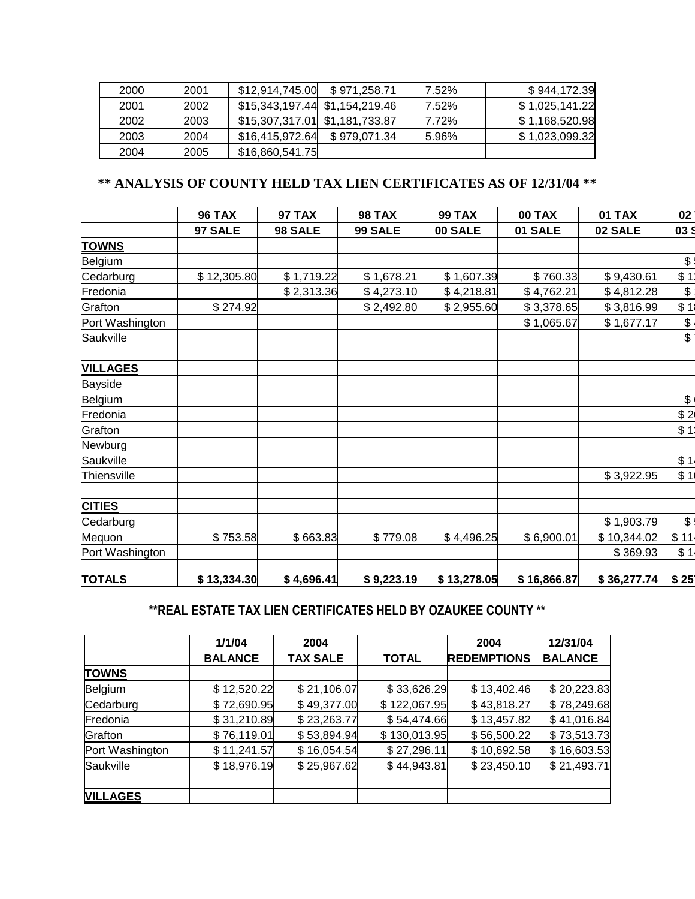| 2000 | 2001 | \$12.914.745.00                | \$971,258.71 | 7.52% | \$944,172.39   |
|------|------|--------------------------------|--------------|-------|----------------|
| 2001 | 2002 | \$15,343,197.44 \$1,154,219.46 |              | 7.52% | \$1,025,141.22 |
| 2002 | 2003 | \$15,307,317.01 \$1,181,733.87 |              | 7.72% | \$1,168,520.98 |
| 2003 | 2004 | \$16,415,972.64                | \$979,071.34 | 5.96% | \$1,023,099.32 |
| 2004 | 2005 | \$16,860,541.75                |              |       |                |

## **\*\* ANALYSIS OF COUNTY HELD TAX LIEN CERTIFICATES AS OF 12/31/04 \*\***

|                 | <b>96 TAX</b> | <b>97 TAX</b> | <b>98 TAX</b> | <b>99 TAX</b> | <b>00 TAX</b> | <b>01 TAX</b> | 02                |
|-----------------|---------------|---------------|---------------|---------------|---------------|---------------|-------------------|
|                 | 97 SALE       | 98 SALE       | 99 SALE       | 00 SALE       | 01 SALE       | 02 SALE       | 03 \$             |
| <b>TOWNS</b>    |               |               |               |               |               |               |                   |
| Belgium         |               |               |               |               |               |               | $\mathfrak{S}$    |
| Cedarburg       | \$12,305.80   | \$1,719.22    | \$1,678.21    | \$1,607.39    | \$760.33      | \$9,430.61    | \$1               |
| Fredonia        |               | \$2,313.36    | \$4,273.10    | \$4,218.81    | \$4,762.21    | \$4,812.28    | $\boldsymbol{\$}$ |
| Grafton         | \$274.92      |               | \$2,492.80    | \$2,955.60    | \$3,378.65    | \$3,816.99    | \$1               |
| Port Washington |               |               |               |               | \$1,065.67    | \$1,677.17    | $\mathbb{S}$      |
| Saukville       |               |               |               |               |               |               | $\mathsf S$       |
| <b>VILLAGES</b> |               |               |               |               |               |               |                   |
| Bayside         |               |               |               |               |               |               |                   |
| Belgium         |               |               |               |               |               |               | $\frac{1}{2}$     |
| Fredonia        |               |               |               |               |               |               | \$2               |
| Grafton         |               |               |               |               |               |               | \$1               |
| Newburg         |               |               |               |               |               |               |                   |
| Saukville       |               |               |               |               |               |               | \$1               |
| Thiensville     |               |               |               |               |               | \$3,922.95    | \$1               |
| <b>CITIES</b>   |               |               |               |               |               |               |                   |
| Cedarburg       |               |               |               |               |               | \$1,903.79    | $\mathfrak{S}$    |
| Mequon          | \$753.58      | \$663.83      | \$779.08      | \$4,496.25    | \$6,900.01    | \$10,344.02   | \$11              |
| Port Washington |               |               |               |               |               | \$369.93      | \$1               |
| <b>TOTALS</b>   | \$13,334.30   | \$4,696.41    | \$9,223.19    | \$13,278.05   | \$16,866.87   | \$36,277.74   | \$25              |

## **\*\*REAL ESTATE TAX LIEN CERTIFICATES HELD BY OZAUKEE COUNTY \*\***

|                 | 1/1/04         | 2004            |              | 2004               | 12/31/04       |
|-----------------|----------------|-----------------|--------------|--------------------|----------------|
|                 | <b>BALANCE</b> | <b>TAX SALE</b> | <b>TOTAL</b> | <b>REDEMPTIONS</b> | <b>BALANCE</b> |
| <b>TOWNS</b>    |                |                 |              |                    |                |
| Belgium         | \$12,520.22    | \$21,106.07     | \$33,626.29  | \$13,402.46        | \$20,223.83    |
| Cedarburg       | \$72,690.95    | \$49,377.00     | \$122,067.95 | \$43,818.27        | \$78,249.68    |
| Fredonia        | \$31,210.89    | \$23,263.77     | \$54,474.66  | \$13,457.82        | \$41,016.84    |
| Grafton         | \$76,119.01    | \$53,894.94     | \$130,013.95 | \$56,500.22        | \$73,513.73    |
| Port Washington | \$11,241.57    | \$16,054.54     | \$27,296.11  | \$10,692.58        | \$16,603.53    |
| Saukville       | \$18,976.19    | \$25,967.62     | \$44,943.81  | \$23,450.10        | \$21,493.71    |
|                 |                |                 |              |                    |                |
| <b>VILLAGES</b> |                |                 |              |                    |                |